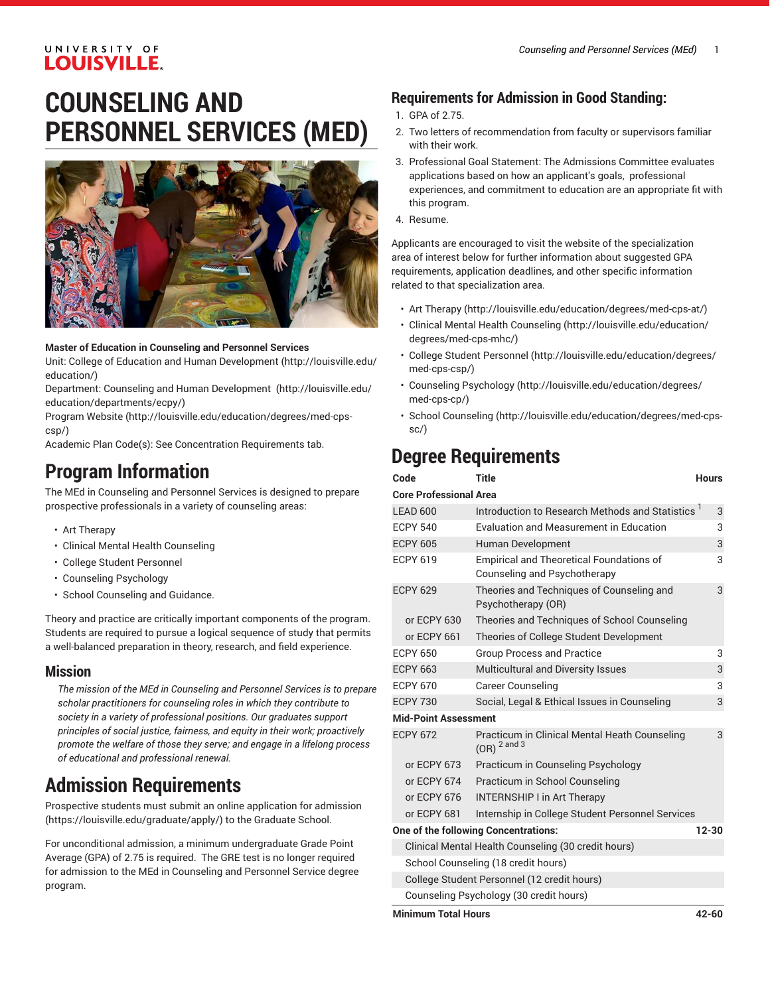## UNIVERSITY OF **LOUISVILLE.**

# **COUNSELING AND PERSONNEL SERVICES (MED)**



#### **Master of Education in Counseling and Personnel Services**

Unit: College of Education and Human [Development \(http://louisville.edu/](http://louisville.edu/education/) [education/](http://louisville.edu/education/))

Department: Counseling and Human [Development \(http://louisville.edu/](http://louisville.edu/education/departments/ecpy/) [education/departments/ecpy/\)](http://louisville.edu/education/departments/ecpy/)

[Program](http://louisville.edu/education/degrees/med-cps-csp/) Website [\(http://louisville.edu/education/degrees/med-cps](http://louisville.edu/education/degrees/med-cps-csp/)[csp/](http://louisville.edu/education/degrees/med-cps-csp/))

Academic Plan Code(s): See Concentration Requirements tab.

## **Program Information**

The MEd in Counseling and Personnel Services is designed to prepare prospective professionals in a variety of counseling areas:

- Art Therapy
- Clinical Mental Health Counseling
- College Student Personnel
- Counseling Psychology
- School Counseling and Guidance.

Theory and practice are critically important components of the program. Students are required to pursue a logical sequence of study that permits a well-balanced preparation in theory, research, and field experience.

### **Mission**

*The mission of the MEd in Counseling and Personnel Services is to prepare scholar practitioners for counseling roles in which they contribute to society in a variety of professional positions. Our graduates support principles of social justice, fairness, and equity in their work; proactively promote the welfare of those they serve; and engage in a lifelong process of educational and professional renewal.*

## **Admission Requirements**

Prospective students must submit an [online application for admission](https://louisville.edu/graduate/apply/) ([https://louisville.edu/graduate/apply/\)](https://louisville.edu/graduate/apply/) to the Graduate School.

For unconditional admission, a minimum undergraduate Grade Point Average (GPA) of 2.75 is required. The GRE test is no longer required for admission to the MEd in Counseling and Personnel Service degree program.

## **Requirements for Admission in Good Standing:**

- 1. GPA of 2.75.
- 2. Two letters of recommendation from faculty or supervisors familiar with their work.
- 3. Professional Goal Statement: The Admissions Committee evaluates applications based on how an applicant's goals, professional experiences, and commitment to education are an appropriate fit with this program.
- 4. Resume.

Applicants are encouraged to visit the website of the specialization area of interest below for further information about suggested GPA requirements, application deadlines, and other specific information related to that specialization area.

- Art [Therapy](http://louisville.edu/education/degrees/med-cps-at/) (<http://louisville.edu/education/degrees/med-cps-at/>)
- [Clinical Mental Health Counseling](http://louisville.edu/education/degrees/med-cps-mhc/) [\(http://louisville.edu/education/](http://louisville.edu/education/degrees/med-cps-mhc/) [degrees/med-cps-mhc/\)](http://louisville.edu/education/degrees/med-cps-mhc/)
- College Student [Personnel](http://louisville.edu/education/degrees/med-cps-csp/) [\(http://louisville.edu/education/degrees/](http://louisville.edu/education/degrees/med-cps-csp/) [med-cps-csp/\)](http://louisville.edu/education/degrees/med-cps-csp/)
- Counseling [Psychology](http://louisville.edu/education/degrees/med-cps-cp/) ([http://louisville.edu/education/degrees/](http://louisville.edu/education/degrees/med-cps-cp/) [med-cps-cp/\)](http://louisville.edu/education/degrees/med-cps-cp/)
- [School Counseling](http://louisville.edu/education/degrees/med-cps-sc/) [\(http://louisville.edu/education/degrees/med-cps](http://louisville.edu/education/degrees/med-cps-sc/)[sc/](http://louisville.edu/education/degrees/med-cps-sc/))

## **Degree Requirements**

| Code                                                | Title                                                                           | <b>Hours</b> |
|-----------------------------------------------------|---------------------------------------------------------------------------------|--------------|
| <b>Core Professional Area</b>                       |                                                                                 |              |
| LEAD 600                                            | Introduction to Research Methods and Statistics <sup>1</sup>                    | 3            |
| <b>ECPY 540</b>                                     | <b>Evaluation and Measurement in Education</b>                                  | 3            |
| <b>ECPY 605</b>                                     | Human Development                                                               | 3            |
| <b>ECPY 619</b>                                     | <b>Empirical and Theoretical Foundations of</b><br>Counseling and Psychotherapy | 3            |
| <b>ECPY 629</b>                                     | Theories and Techniques of Counseling and<br>Psychotherapy (OR)                 | 3            |
| or ECPY 630                                         | Theories and Techniques of School Counseling                                    |              |
| or ECPY 661                                         | Theories of College Student Development                                         |              |
| <b>ECPY 650</b>                                     | <b>Group Process and Practice</b>                                               | 3            |
| <b>ECPY 663</b>                                     | <b>Multicultural and Diversity Issues</b>                                       | 3            |
| <b>ECPY 670</b>                                     | <b>Career Counseling</b>                                                        | 3            |
| <b>ECPY 730</b>                                     | Social, Legal & Ethical Issues in Counseling                                    | 3            |
| <b>Mid-Point Assessment</b>                         |                                                                                 |              |
| <b>ECPY 672</b>                                     | Practicum in Clinical Mental Heath Counseling<br>$(OR)2$ and 3                  | 3            |
| or ECPY 673                                         | Practicum in Counseling Psychology                                              |              |
| or ECPY 674                                         | Practicum in School Counseling                                                  |              |
| or ECPY 676                                         | <b>INTERNSHIP I in Art Therapy</b>                                              |              |
| or ECPY 681                                         | Internship in College Student Personnel Services                                |              |
| One of the following Concentrations:<br>$12 - 30$   |                                                                                 |              |
| Clinical Mental Health Counseling (30 credit hours) |                                                                                 |              |
| School Counseling (18 credit hours)                 |                                                                                 |              |
| College Student Personnel (12 credit hours)         |                                                                                 |              |
|                                                     | Counseling Psychology (30 credit hours)                                         |              |

**Minimum Total Hours 42-60**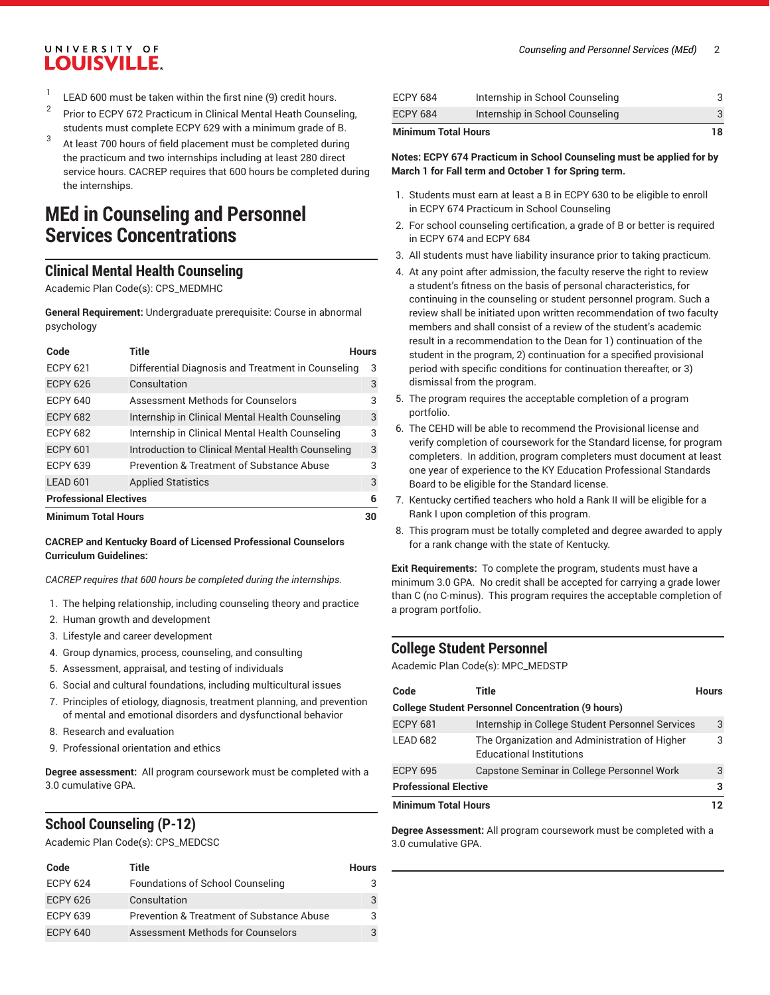#### *Counseling and Personnel Services (MEd)* 2

## UNIVERSITY OF **LOUISVILLE.**

- 1 LEAD 600 must be taken within the first nine (9) credit hours.
- 2 Prior to ECPY 672 Practicum in Clinical Mental Heath Counseling, students must complete ECPY 629 with a minimum grade of B.
- 3 At least 700 hours of field placement must be completed during the practicum and two internships including at least 280 direct service hours. CACREP requires that 600 hours be completed during the internships.

## **MEd in Counseling and Personnel Services Concentrations**

## **Clinical Mental Health Counseling**

Academic Plan Code(s): CPS\_MEDMHC

**General Requirement:** Undergraduate prerequisite: Course in abnormal psychology

| Code                          | Title                                              | <b>Hours</b> |
|-------------------------------|----------------------------------------------------|--------------|
| <b>ECPY 621</b>               | Differential Diagnosis and Treatment in Counseling | 3            |
| <b>ECPY 626</b>               | Consultation                                       | 3            |
| <b>ECPY 640</b>               | Assessment Methods for Counselors                  | 3            |
| <b>ECPY 682</b>               | Internship in Clinical Mental Health Counseling    | 3            |
| <b>ECPY 682</b>               | Internship in Clinical Mental Health Counseling    | 3            |
| <b>ECPY 601</b>               | Introduction to Clinical Mental Health Counseling  | 3            |
| <b>ECPY 639</b>               | Prevention & Treatment of Substance Abuse          | 3            |
| LEAD 601                      | <b>Applied Statistics</b>                          | 3            |
| <b>Professional Electives</b> |                                                    | 6            |
| <b>Minimum Total Hours</b>    |                                                    | 30           |

#### **CACREP and Kentucky Board of Licensed Professional Counselors Curriculum Guidelines:**

*CACREP requires that 600 hours be completed during the internships.*

- 1. The helping relationship, including counseling theory and practice
- 2. Human growth and development
- 3. Lifestyle and career development
- 4. Group dynamics, process, counseling, and consulting
- 5. Assessment, appraisal, and testing of individuals
- 6. Social and cultural foundations, including multicultural issues
- 7. Principles of etiology, diagnosis, treatment planning, and prevention of mental and emotional disorders and dysfunctional behavior
- 8. Research and evaluation
- 9. Professional orientation and ethics

**Degree assessment:** All program coursework must be completed with a 3.0 cumulative GPA.

### **School Counseling (P-12)**

Academic Plan Code(s): CPS\_MEDCSC

| Code            | Title                                     | <b>Hours</b> |
|-----------------|-------------------------------------------|--------------|
| <b>ECPY 624</b> | Foundations of School Counseling          | 3            |
| <b>ECPY 626</b> | Consultation                              | 3            |
| <b>ECPY 639</b> | Prevention & Treatment of Substance Abuse | 3            |
| <b>ECPY 640</b> | Assessment Methods for Counselors         | 3            |

| <b>ECPY 684</b> | Internship in School Counseling |  |
|-----------------|---------------------------------|--|
| <b>ECPY 684</b> | Internship in School Counseling |  |
|                 |                                 |  |

#### **Minimum Total Hours 18**

#### **Notes: ECPY 674 Practicum in School Counseling must be applied for by March 1 for Fall term and October 1 for Spring term.**

- 1. Students must earn at least a B in ECPY 630 to be eligible to enroll in ECPY 674 Practicum in School Counseling
- 2. For school counseling certification, a grade of B or better is required in ECPY 674 and ECPY 684
- 3. All students must have liability insurance prior to taking practicum.
- 4. At any point after admission, the faculty reserve the right to review a student's fitness on the basis of personal characteristics, for continuing in the counseling or student personnel program. Such a review shall be initiated upon written recommendation of two faculty members and shall consist of a review of the student's academic result in a recommendation to the Dean for 1) continuation of the student in the program, 2) continuation for a specified provisional period with specific conditions for continuation thereafter, or 3) dismissal from the program.
- 5. The program requires the acceptable completion of a program portfolio.
- 6. The CEHD will be able to recommend the Provisional license and verify completion of coursework for the Standard license, for program completers. In addition, program completers must document at least one year of experience to the KY Education Professional Standards Board to be eligible for the Standard license.
- 7. Kentucky certified teachers who hold a Rank II will be eligible for a Rank I upon completion of this program.
- 8. This program must be totally completed and degree awarded to apply for a rank change with the state of Kentucky.

**Exit Requirements:** To complete the program, students must have a minimum 3.0 GPA. No credit shall be accepted for carrying a grade lower than C (no C-minus). This program requires the acceptable completion of a program portfolio.

### **College Student Personnel**

Academic Plan Code(s): MPC\_MEDSTP

| Code                                                     | Title                                                                            | <b>Hours</b> |
|----------------------------------------------------------|----------------------------------------------------------------------------------|--------------|
| <b>College Student Personnel Concentration (9 hours)</b> |                                                                                  |              |
| <b>ECPY 681</b>                                          | Internship in College Student Personnel Services                                 | 3            |
| LEAD 682                                                 | The Organization and Administration of Higher<br><b>Educational Institutions</b> | 3            |
| <b>ECPY 695</b>                                          | Capstone Seminar in College Personnel Work                                       | 3            |
| <b>Professional Elective</b>                             |                                                                                  | 3            |
| <b>Minimum Total Hours</b>                               |                                                                                  | 12           |

**Degree Assessment:** All program coursework must be completed with a 3.0 cumulative GPA.